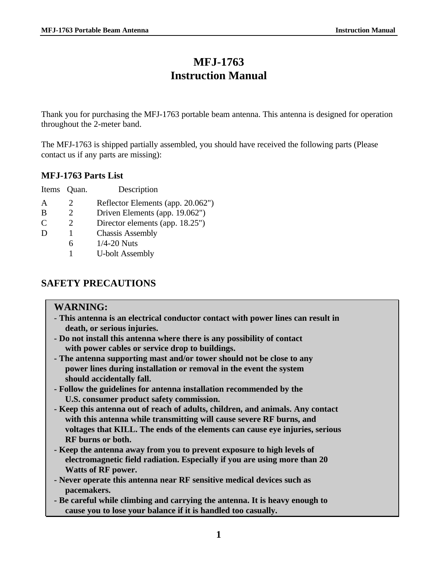# **MFJ-1763 Instruction Manual**

Thank you for purchasing the MFJ-1763 portable beam antenna. This antenna is designed for operation throughout the 2-meter band.

The MFJ-1763 is shipped partially assembled, you should have received the following parts (Please contact us if any parts are missing):

### **MFJ-1763 Parts List**

| Items Quan. | Description                       |
|-------------|-----------------------------------|
|             | Reflector Elements (app. 20.062") |
|             | Driven Elements (app. 19.062")    |
|             | Director elements (app. 18.25")   |
|             | <b>Chassis Assembly</b>           |
| h           | $1/4-20$ Nuts                     |
|             | <b>U-bolt Assembly</b>            |
|             |                                   |

### **SAFETY PRECAUTIONS**

#### **WARNING:**

- **This antenna is an electrical conductor contact with power lines can result in death, or serious injuries.**
- **Do not install this antenna where there is any possibility of contact with power cables or service drop to buildings.**
- **The antenna supporting mast and/or tower should not be close to any power lines during installation or removal in the event the system should accidentally fall.**
- **Follow the guidelines for antenna installation recommended by the U.S. consumer product safety commission.**
- **Keep this antenna out of reach of adults, children, and animals. Any contact with this antenna while transmitting will cause severe RF burns, and voltages that KILL. The ends of the elements can cause eye injuries, serious RF burns or both.**
- **Keep the antenna away from you to prevent exposure to high levels of electromagnetic field radiation. Especially if you are using more than 20 Watts of RF power.**
- **Never operate this antenna near RF sensitive medical devices such as pacemakers.**
- **Be careful while climbing and carrying the antenna. It is heavy enough to cause you to lose your balance if it is handled too casually.**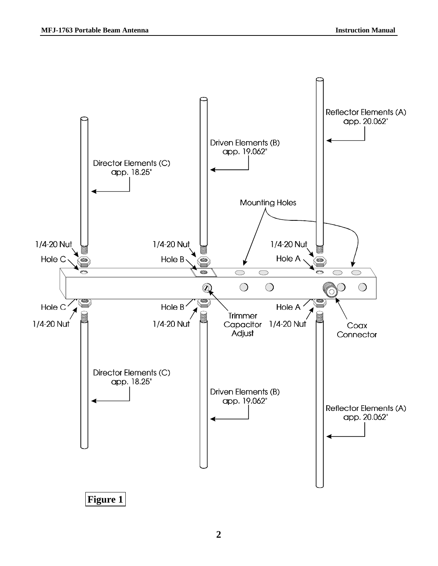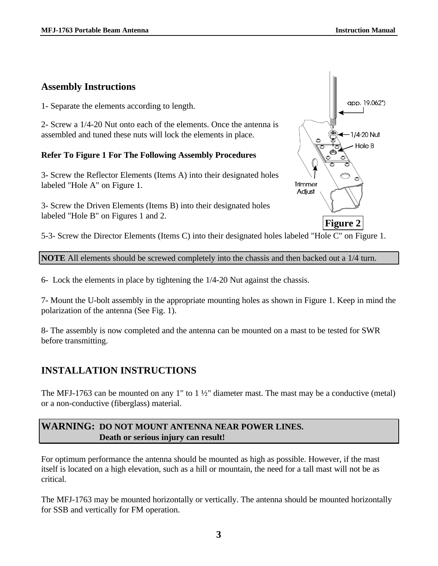### **Assembly Instructions**

1- Separate the elements according to length.

2- Screw a 1/4-20 Nut onto each of the elements. Once the antenna is assembled and tuned these nuts will lock the elements in place.

#### **Refer To Figure 1 For The Following Assembly Procedures**

3- Screw the Reflector Elements (Items A) into their designated holes labeled "Hole A" on Figure 1.

3- Screw the Driven Elements (Items B) into their designated holes labeled "Hole B" on Figures 1 and 2.

app. 19.062") 1/4-20 Nut Hole B Trimmer Adjust **Figure 2**

5-3- Screw the Director Elements (Items C) into their designated holes labeled "Hole C" on Figure 1.

**NOTE** All elements should be screwed completely into the chassis and then backed out a 1/4 turn.

6- Lock the elements in place by tightening the 1/4-20 Nut against the chassis.

7- Mount the U-bolt assembly in the appropriate mounting holes as shown in Figure 1. Keep in mind the polarization of the antenna (See Fig. 1).

8- The assembly is now completed and the antenna can be mounted on a mast to be tested for SWR before transmitting.

## **INSTALLATION INSTRUCTIONS**

The MFJ-1763 can be mounted on any 1" to 1 ½" diameter mast. The mast may be a conductive (metal) or a non-conductive (fiberglass) material.

### **WARNING: DO NOT MOUNT ANTENNA NEAR POWER LINES. Death or serious injury can result!**

For optimum performance the antenna should be mounted as high as possible. However, if the mast itself is located on a high elevation, such as a hill or mountain, the need for a tall mast will not be as critical.

The MFJ-1763 may be mounted horizontally or vertically. The antenna should be mounted horizontally for SSB and vertically for FM operation.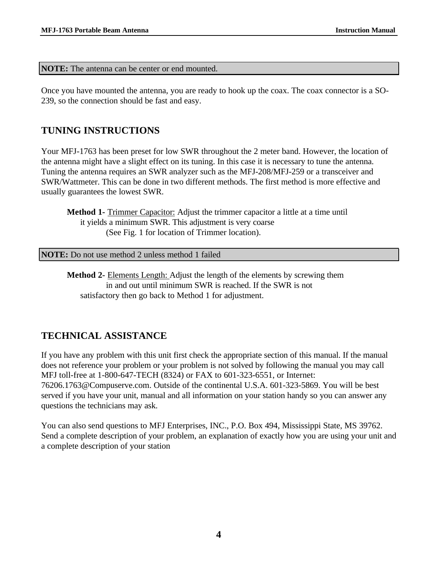**NOTE:** The antenna can be center or end mounted.

Once you have mounted the antenna, you are ready to hook up the coax. The coax connector is a SO-239, so the connection should be fast and easy.

### **TUNING INSTRUCTIONS**

Your MFJ-1763 has been preset for low SWR throughout the 2 meter band. However, the location of the antenna might have a slight effect on its tuning. In this case it is necessary to tune the antenna. Tuning the antenna requires an SWR analyzer such as the MFJ-208/MFJ-259 or a transceiver and SWR/Wattmeter. This can be done in two different methods. The first method is more effective and usually guarantees the lowest SWR.

**Method 1-** Trimmer Capacitor: Adjust the trimmer capacitor a little at a time until it yields a minimum SWR. This adjustment is very coarse (See Fig. 1 for location of Trimmer location).

**NOTE:** Do not use method 2 unless method 1 failed

**Method 2-** Elements Length: Adjust the length of the elements by screwing them in and out until minimum SWR is reached. If the SWR is not satisfactory then go back to Method 1 for adjustment.

## **TECHNICAL ASSISTANCE**

If you have any problem with this unit first check the appropriate section of this manual. If the manual does not reference your problem or your problem is not solved by following the manual you may call MFJ toll-free at 1-800-647-TECH (8324) or FAX to 601-323-6551, or Internet: 76206.1763@Compuserve.com. Outside of the continental U.S.A. 601-323-5869. You will be best served if you have your unit, manual and all information on your station handy so you can answer any questions the technicians may ask.

You can also send questions to MFJ Enterprises, INC., P.O. Box 494, Mississippi State, MS 39762. Send a complete description of your problem, an explanation of exactly how you are using your unit and a complete description of your station